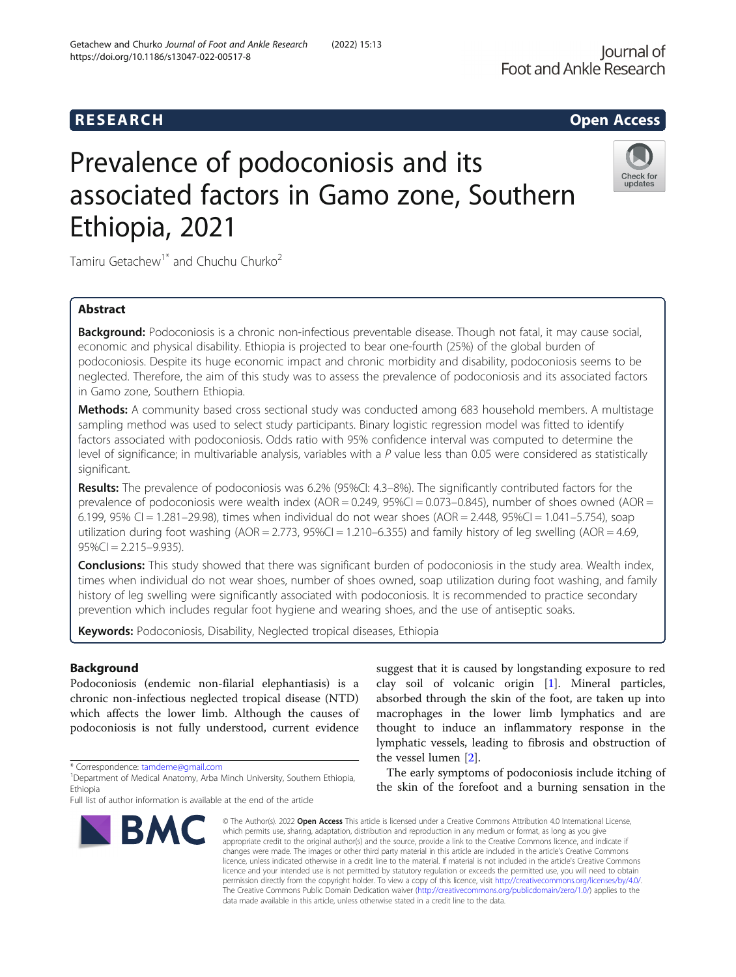# **RESEARCH CHEAR CHEAR CHEAR CHEAR CHEAR CHEAR CHEAR CHEAR CHEAR CHEAR CHEAR CHEAR CHEAR CHEAR CHEAR CHEAR CHEAR**

# Prevalence of podoconiosis and its associated factors in Gamo zone, Southern Ethiopia, 2021



Tamiru Getachew<sup>1\*</sup> and Chuchu Churko<sup>2</sup>

# Abstract

Background: Podoconiosis is a chronic non-infectious preventable disease. Though not fatal, it may cause social, economic and physical disability. Ethiopia is projected to bear one-fourth (25%) of the global burden of podoconiosis. Despite its huge economic impact and chronic morbidity and disability, podoconiosis seems to be neglected. Therefore, the aim of this study was to assess the prevalence of podoconiosis and its associated factors in Gamo zone, Southern Ethiopia.

Methods: A community based cross sectional study was conducted among 683 household members. A multistage sampling method was used to select study participants. Binary logistic regression model was fitted to identify factors associated with podoconiosis. Odds ratio with 95% confidence interval was computed to determine the level of significance; in multivariable analysis, variables with a  $P$  value less than 0.05 were considered as statistically significant.

Results: The prevalence of podoconiosis was 6.2% (95%CI: 4.3–8%). The significantly contributed factors for the prevalence of podoconiosis were wealth index (AOR = 0.249, 95%CI = 0.073-0.845), number of shoes owned (AOR = 6.199, 95% CI = 1.281–29.98), times when individual do not wear shoes (AOR = 2.448, 95%CI = 1.041–5.754), soap utilization during foot washing  $(AOR = 2.773, 95\%C = 1.210-6.355)$  and family history of leg swelling  $(AOR = 4.69, 1.000)$  $95\%CI = 2.215 - 9.935$ ).

**Conclusions:** This study showed that there was significant burden of podoconiosis in the study area. Wealth index, times when individual do not wear shoes, number of shoes owned, soap utilization during foot washing, and family history of leg swelling were significantly associated with podoconiosis. It is recommended to practice secondary prevention which includes regular foot hygiene and wearing shoes, and the use of antiseptic soaks.

Keywords: Podoconiosis, Disability, Neglected tropical diseases, Ethiopia

# Background

Podoconiosis (endemic non-filarial elephantiasis) is a chronic non-infectious neglected tropical disease (NTD) which affects the lower limb. Although the causes of podoconiosis is not fully understood, current evidence

\* Correspondence: [tamdeme@gmail.com](mailto:tamdeme@gmail.com) <sup>1</sup>

Full list of author information is available at the end of the article



suggest that it is caused by longstanding exposure to red clay soil of volcanic origin [[1\]](#page-10-0). Mineral particles, absorbed through the skin of the foot, are taken up into macrophages in the lower limb lymphatics and are thought to induce an inflammatory response in the lymphatic vessels, leading to fibrosis and obstruction of the vessel lumen [[2\]](#page-10-0).

The early symptoms of podoconiosis include itching of the skin of the forefoot and a burning sensation in the

© The Author(s), 2022 **Open Access** This article is licensed under a Creative Commons Attribution 4.0 International License, which permits use, sharing, adaptation, distribution and reproduction in any medium or format, as long as you give appropriate credit to the original author(s) and the source, provide a link to the Creative Commons licence, and indicate if changes were made. The images or other third party material in this article are included in the article's Creative Commons licence, unless indicated otherwise in a credit line to the material. If material is not included in the article's Creative Commons licence and your intended use is not permitted by statutory regulation or exceeds the permitted use, you will need to obtain permission directly from the copyright holder. To view a copy of this licence, visit [http://creativecommons.org/licenses/by/4.0/.](http://creativecommons.org/licenses/by/4.0/) The Creative Commons Public Domain Dedication waiver [\(http://creativecommons.org/publicdomain/zero/1.0/](http://creativecommons.org/publicdomain/zero/1.0/)) applies to the data made available in this article, unless otherwise stated in a credit line to the data.

<sup>&</sup>lt;sup>1</sup>Department of Medical Anatomy, Arba Minch University, Southern Ethiopia, Ethiopia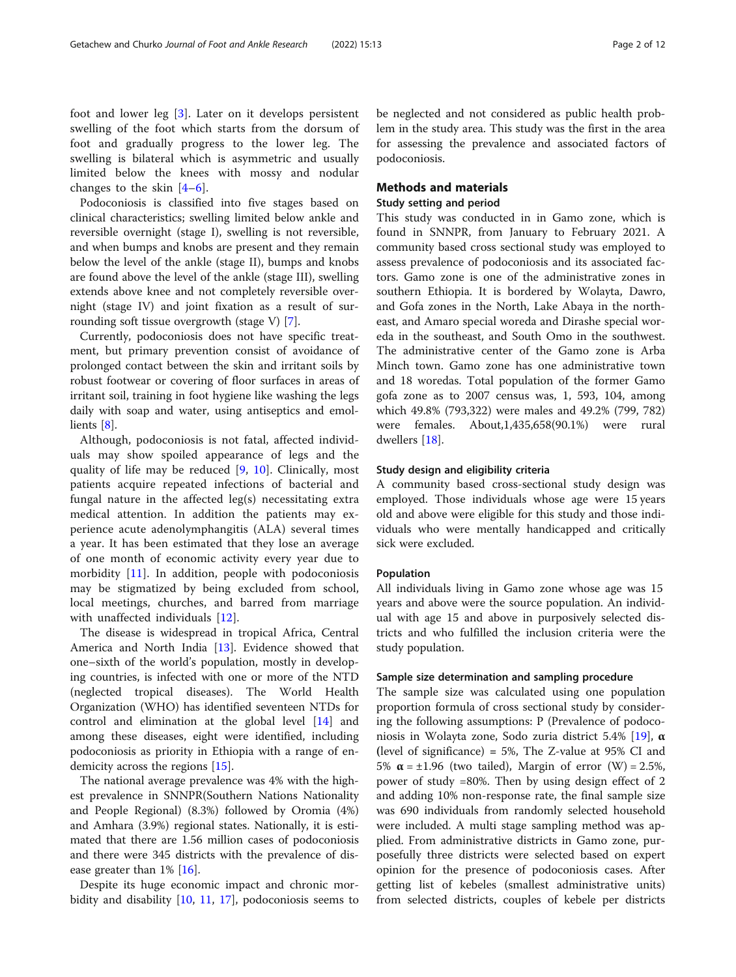foot and lower leg [[3](#page-10-0)]. Later on it develops persistent swelling of the foot which starts from the dorsum of foot and gradually progress to the lower leg. The swelling is bilateral which is asymmetric and usually limited below the knees with mossy and nodular changes to the skin  $[4-6]$  $[4-6]$  $[4-6]$  $[4-6]$ .

Podoconiosis is classified into five stages based on clinical characteristics; swelling limited below ankle and reversible overnight (stage I), swelling is not reversible, and when bumps and knobs are present and they remain below the level of the ankle (stage II), bumps and knobs are found above the level of the ankle (stage III), swelling extends above knee and not completely reversible overnight (stage IV) and joint fixation as a result of surrounding soft tissue overgrowth (stage V) [[7\]](#page-10-0).

Currently, podoconiosis does not have specific treatment, but primary prevention consist of avoidance of prolonged contact between the skin and irritant soils by robust footwear or covering of floor surfaces in areas of irritant soil, training in foot hygiene like washing the legs daily with soap and water, using antiseptics and emollients [[8\]](#page-10-0).

Although, podoconiosis is not fatal, affected individuals may show spoiled appearance of legs and the quality of life may be reduced [[9,](#page-10-0) [10](#page-10-0)]. Clinically, most patients acquire repeated infections of bacterial and fungal nature in the affected leg(s) necessitating extra medical attention. In addition the patients may experience acute adenolymphangitis (ALA) several times a year. It has been estimated that they lose an average of one month of economic activity every year due to morbidity [[11\]](#page-10-0). In addition, people with podoconiosis may be stigmatized by being excluded from school, local meetings, churches, and barred from marriage with unaffected individuals [\[12](#page-10-0)].

The disease is widespread in tropical Africa, Central America and North India [\[13](#page-10-0)]. Evidence showed that one–sixth of the world's population, mostly in developing countries, is infected with one or more of the NTD (neglected tropical diseases). The World Health Organization (WHO) has identified seventeen NTDs for control and elimination at the global level [\[14](#page-10-0)] and among these diseases, eight were identified, including podoconiosis as priority in Ethiopia with a range of endemicity across the regions [\[15](#page-10-0)].

The national average prevalence was 4% with the highest prevalence in SNNPR(Southern Nations Nationality and People Regional) (8.3%) followed by Oromia (4%) and Amhara (3.9%) regional states. Nationally, it is estimated that there are 1.56 million cases of podoconiosis and there were 345 districts with the prevalence of disease greater than 1% [\[16\]](#page-10-0).

Despite its huge economic impact and chronic morbidity and disability [[10,](#page-10-0) [11,](#page-10-0) [17](#page-10-0)], podoconiosis seems to

be neglected and not considered as public health problem in the study area. This study was the first in the area for assessing the prevalence and associated factors of podoconiosis.

# Methods and materials

# Study setting and period

This study was conducted in in Gamo zone, which is found in SNNPR, from January to February 2021. A community based cross sectional study was employed to assess prevalence of podoconiosis and its associated factors. Gamo zone is one of the administrative zones in southern Ethiopia. It is bordered by Wolayta, Dawro, and Gofa zones in the North, Lake Abaya in the northeast, and Amaro special woreda and Dirashe special woreda in the southeast, and South Omo in the southwest. The administrative center of the Gamo zone is Arba Minch town. Gamo zone has one administrative town and 18 woredas. Total population of the former Gamo gofa zone as to 2007 census was, 1, 593, 104, among which 49.8% (793,322) were males and 49.2% (799, 782) were females. About,1,435,658(90.1%) were rural dwellers [\[18](#page-10-0)].

# Study design and eligibility criteria

A community based cross-sectional study design was employed. Those individuals whose age were 15 years old and above were eligible for this study and those individuals who were mentally handicapped and critically sick were excluded.

# Population

All individuals living in Gamo zone whose age was 15 years and above were the source population. An individual with age 15 and above in purposively selected districts and who fulfilled the inclusion criteria were the study population.

# Sample size determination and sampling procedure

The sample size was calculated using one population proportion formula of cross sectional study by considering the following assumptions: P (Prevalence of podoconiosis in Wolayta zone, Sodo zuria district 5.4% [[19\]](#page-10-0), α (level of significance) = 5%, The Z-value at 95% CI and 5%  $\alpha$  = ±1.96 (two tailed), Margin of error (W) = 2.5%, power of study =80%. Then by using design effect of 2 and adding 10% non-response rate, the final sample size was 690 individuals from randomly selected household were included. A multi stage sampling method was applied. From administrative districts in Gamo zone, purposefully three districts were selected based on expert opinion for the presence of podoconiosis cases. After getting list of kebeles (smallest administrative units) from selected districts, couples of kebele per districts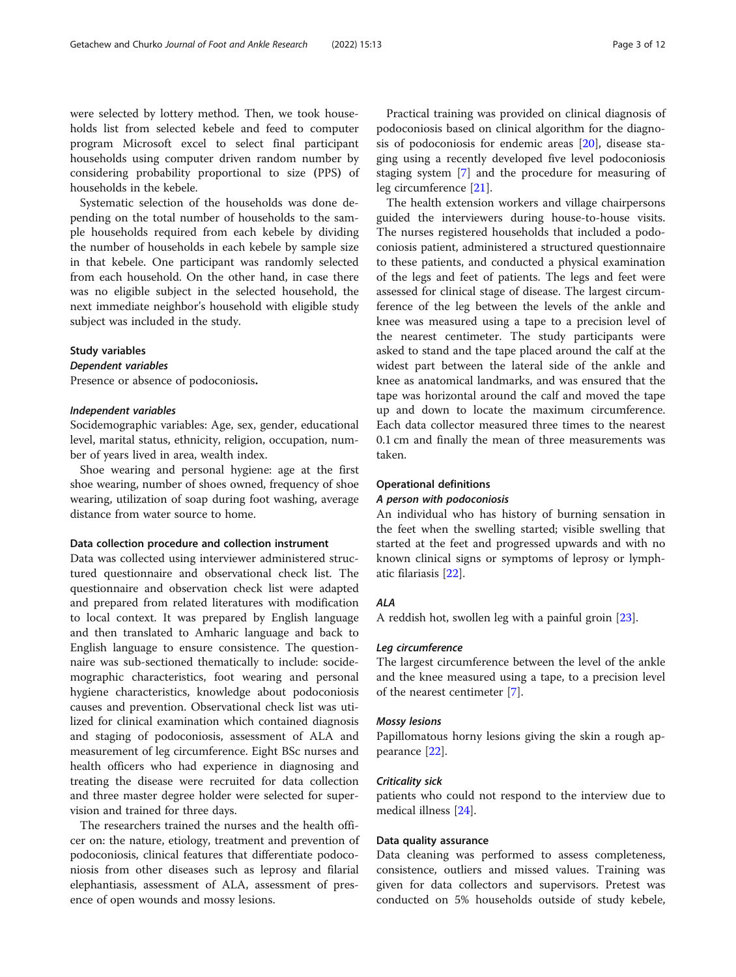were selected by lottery method. Then, we took households list from selected kebele and feed to computer program Microsoft excel to select final participant households using computer driven random number by considering probability proportional to size (PPS) of households in the kebele.

Systematic selection of the households was done depending on the total number of households to the sample households required from each kebele by dividing the number of households in each kebele by sample size in that kebele. One participant was randomly selected from each household. On the other hand, in case there was no eligible subject in the selected household, the next immediate neighbor's household with eligible study subject was included in the study.

# Study variables

# Dependent variables

Presence or absence of podoconiosis.

# Independent variables

Socidemographic variables: Age, sex, gender, educational level, marital status, ethnicity, religion, occupation, number of years lived in area, wealth index.

Shoe wearing and personal hygiene: age at the first shoe wearing, number of shoes owned, frequency of shoe wearing, utilization of soap during foot washing, average distance from water source to home.

# Data collection procedure and collection instrument

Data was collected using interviewer administered structured questionnaire and observational check list. The questionnaire and observation check list were adapted and prepared from related literatures with modification to local context. It was prepared by English language and then translated to Amharic language and back to English language to ensure consistence. The questionnaire was sub-sectioned thematically to include: socidemographic characteristics, foot wearing and personal hygiene characteristics, knowledge about podoconiosis causes and prevention. Observational check list was utilized for clinical examination which contained diagnosis and staging of podoconiosis, assessment of ALA and measurement of leg circumference. Eight BSc nurses and health officers who had experience in diagnosing and treating the disease were recruited for data collection and three master degree holder were selected for supervision and trained for three days.

The researchers trained the nurses and the health officer on: the nature, etiology, treatment and prevention of podoconiosis, clinical features that differentiate podoconiosis from other diseases such as leprosy and filarial elephantiasis, assessment of ALA, assessment of presence of open wounds and mossy lesions.

Practical training was provided on clinical diagnosis of podoconiosis based on clinical algorithm for the diagnosis of podoconiosis for endemic areas [[20](#page-10-0)], disease staging using a recently developed five level podoconiosis staging system [\[7\]](#page-10-0) and the procedure for measuring of leg circumference [[21](#page-10-0)].

The health extension workers and village chairpersons guided the interviewers during house-to-house visits. The nurses registered households that included a podoconiosis patient, administered a structured questionnaire to these patients, and conducted a physical examination of the legs and feet of patients. The legs and feet were assessed for clinical stage of disease. The largest circumference of the leg between the levels of the ankle and knee was measured using a tape to a precision level of the nearest centimeter. The study participants were asked to stand and the tape placed around the calf at the widest part between the lateral side of the ankle and knee as anatomical landmarks, and was ensured that the tape was horizontal around the calf and moved the tape up and down to locate the maximum circumference. Each data collector measured three times to the nearest 0.1 cm and finally the mean of three measurements was taken.

# Operational definitions

# A person with podoconiosis

An individual who has history of burning sensation in the feet when the swelling started; visible swelling that started at the feet and progressed upwards and with no known clinical signs or symptoms of leprosy or lymphatic filariasis [\[22](#page-10-0)].

# ALA

A reddish hot, swollen leg with a painful groin [[23](#page-10-0)].

# Leg circumference

The largest circumference between the level of the ankle and the knee measured using a tape, to a precision level of the nearest centimeter [[7](#page-10-0)].

# Mossy lesions

Papillomatous horny lesions giving the skin a rough appearance [\[22\]](#page-10-0).

# Criticality sick

patients who could not respond to the interview due to medical illness [[24](#page-10-0)].

# Data quality assurance

Data cleaning was performed to assess completeness, consistence, outliers and missed values. Training was given for data collectors and supervisors. Pretest was conducted on 5% households outside of study kebele,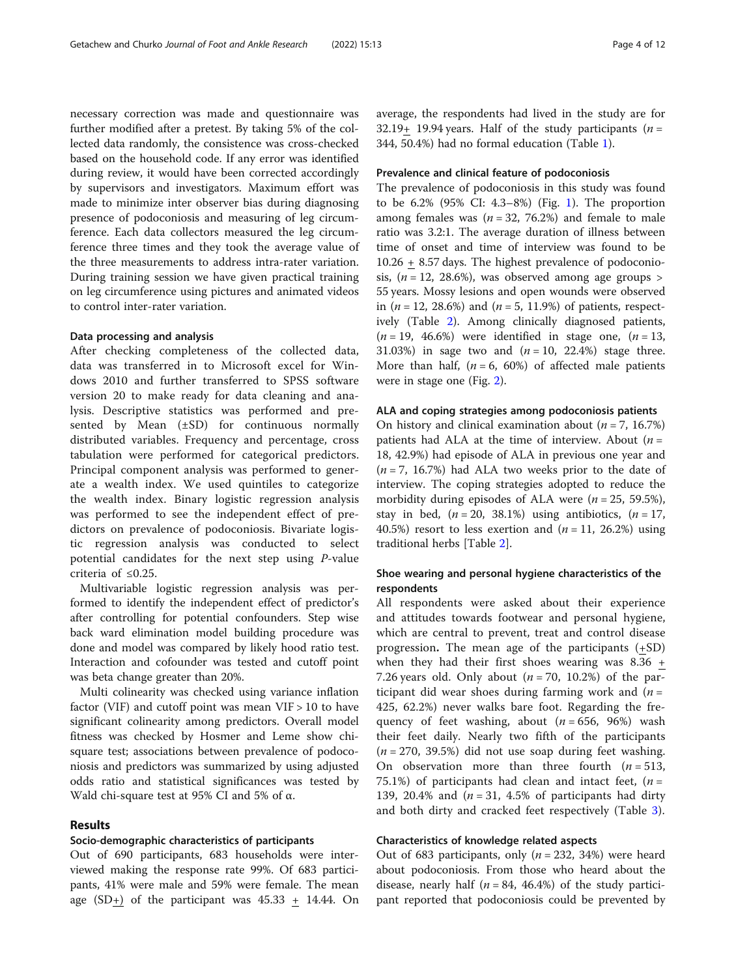necessary correction was made and questionnaire was further modified after a pretest. By taking 5% of the collected data randomly, the consistence was cross-checked based on the household code. If any error was identified during review, it would have been corrected accordingly by supervisors and investigators. Maximum effort was made to minimize inter observer bias during diagnosing presence of podoconiosis and measuring of leg circumference. Each data collectors measured the leg circumference three times and they took the average value of the three measurements to address intra-rater variation. During training session we have given practical training on leg circumference using pictures and animated videos to control inter-rater variation.

# Data processing and analysis

After checking completeness of the collected data, data was transferred in to Microsoft excel for Windows 2010 and further transferred to SPSS software version 20 to make ready for data cleaning and analysis. Descriptive statistics was performed and presented by Mean (±SD) for continuous normally distributed variables. Frequency and percentage, cross tabulation were performed for categorical predictors. Principal component analysis was performed to generate a wealth index. We used quintiles to categorize the wealth index. Binary logistic regression analysis was performed to see the independent effect of predictors on prevalence of podoconiosis. Bivariate logistic regression analysis was conducted to select potential candidates for the next step using P-value criteria of ≤0.25.

Multivariable logistic regression analysis was performed to identify the independent effect of predictor's after controlling for potential confounders. Step wise back ward elimination model building procedure was done and model was compared by likely hood ratio test. Interaction and cofounder was tested and cutoff point was beta change greater than 20%.

Multi colinearity was checked using variance inflation factor (VIF) and cutoff point was mean VIF > 10 to have significant colinearity among predictors. Overall model fitness was checked by Hosmer and Leme show chisquare test; associations between prevalence of podoconiosis and predictors was summarized by using adjusted odds ratio and statistical significances was tested by Wald chi-square test at 95% CI and 5% of α.

# Results

# Socio-demographic characteristics of participants

Out of 690 participants, 683 households were interviewed making the response rate 99%. Of 683 participants, 41% were male and 59% were female. The mean age  $(SD_+)$  of the participant was  $45.33 \pm 14.44$ . On average, the respondents had lived in the study are for 32.19+ 19.94 years. Half of the study participants ( $n =$ 344, 50.4%) had no formal education (Table [1](#page-4-0)).

# Prevalence and clinical feature of podoconiosis

The prevalence of podoconiosis in this study was found to be 6.2% (95% CI: 4.3–8%) (Fig. [1\)](#page-5-0). The proportion among females was ( $n = 32, 76.2%$ ) and female to male ratio was 3.2:1. The average duration of illness between time of onset and time of interview was found to be 10.26 + 8.57 days. The highest prevalence of podoconiosis,  $(n = 12, 28.6\%)$ , was observed among age groups > 55 years. Mossy lesions and open wounds were observed in  $(n = 12, 28.6%)$  and  $(n = 5, 11.9%)$  of patients, respectively (Table [2\)](#page-6-0). Among clinically diagnosed patients,  $(n = 19, 46.6%)$  were identified in stage one,  $(n = 13,$ 31.03%) in sage two and  $(n = 10, 22.4%)$  stage three. More than half,  $(n = 6, 60\%)$  of affected male patients were in stage one (Fig. [2\)](#page-7-0).

# ALA and coping strategies among podoconiosis patients

On history and clinical examination about  $(n = 7, 16.7\%)$ patients had ALA at the time of interview. About  $(n =$ 18, 42.9%) had episode of ALA in previous one year and  $(n = 7, 16.7%)$  had ALA two weeks prior to the date of interview. The coping strategies adopted to reduce the morbidity during episodes of ALA were ( $n = 25$ , 59.5%), stay in bed,  $(n = 20, 38.1\%)$  using antibiotics,  $(n = 17,$ 40.5%) resort to less exertion and  $(n = 11, 26.2%)$  using traditional herbs [Table [2](#page-6-0)].

# Shoe wearing and personal hygiene characteristics of the respondents

All respondents were asked about their experience and attitudes towards footwear and personal hygiene, which are central to prevent, treat and control disease progression. The mean age of the participants (+SD) when they had their first shoes wearing was 8.36 + 7.26 years old. Only about  $(n = 70, 10.2%)$  of the participant did wear shoes during farming work and  $(n =$ 425, 62.2%) never walks bare foot. Regarding the frequency of feet washing, about  $(n = 656, 96%)$  wash their feet daily. Nearly two fifth of the participants  $(n = 270, 39.5\%)$  did not use soap during feet washing. On observation more than three fourth  $(n = 513,$ 75.1%) of participants had clean and intact feet,  $(n =$ 139, 20.4% and  $(n = 31, 4.5\%$  of participants had dirty and both dirty and cracked feet respectively (Table [3\)](#page-7-0).

# Characteristics of knowledge related aspects

Out of 683 participants, only ( $n = 232, 34\%$ ) were heard about podoconiosis. From those who heard about the disease, nearly half ( $n = 84, 46.4\%$ ) of the study participant reported that podoconiosis could be prevented by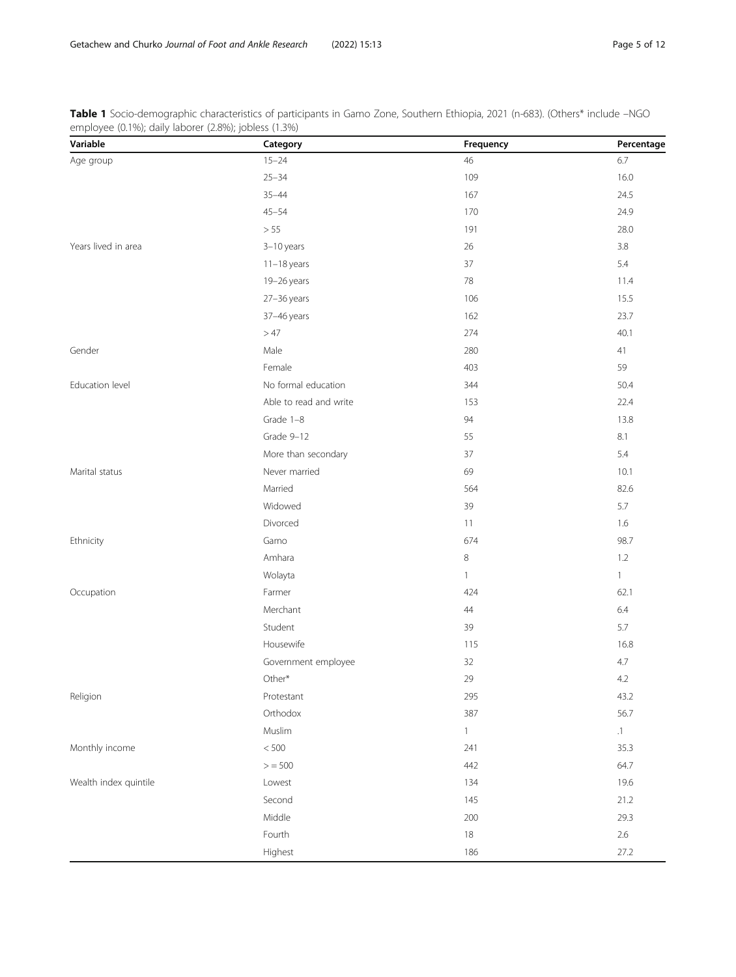| Variable              | Category               | Frequency    | Percentage     |
|-----------------------|------------------------|--------------|----------------|
| Age group             | $15 - 24$              | 46           | 6.7            |
|                       | $25 - 34$              | 109          | 16.0           |
|                       | $35 - 44$              | 167          | 24.5           |
|                       | $45 - 54$              | 170          | 24.9           |
|                       | $>55$                  | 191          | 28.0           |
| Years lived in area   | 3-10 years             | 26           | 3.8            |
|                       | $11-18$ years          | 37           | 5.4            |
|                       | 19-26 years            | 78           | 11.4           |
|                       | 27-36 years            | 106          | 15.5           |
|                       | 37-46 years            | 162          | 23.7           |
|                       | $>47$                  | 274          | 40.1           |
| Gender                | Male                   | 280          | 41             |
|                       | Female                 | 403          | 59             |
| Education level       | No formal education    | 344          | 50.4           |
|                       | Able to read and write | 153          | 22.4           |
|                       | Grade 1-8              | 94           | 13.8           |
|                       | Grade 9-12             | 55           | 8.1            |
|                       | More than secondary    | 37           | 5.4            |
| Marital status        | Never married          | 69           | 10.1           |
|                       | Married                | 564          | 82.6           |
|                       | Widowed                | 39           | 5.7            |
|                       | Divorced               | 11           | 1.6            |
| Ethnicity             | Gamo                   | 674          | 98.7           |
|                       | Amhara                 | $\,8\,$      | 1.2            |
|                       | Wolayta                | $\mathbf{1}$ | $\overline{1}$ |
| Occupation            | Farmer                 | 424          | 62.1           |
|                       | Merchant               | 44           | $6.4\,$        |
|                       | Student                | 39           | 5.7            |
|                       | Housewife              | 115          | 16.8           |
|                       | Government employee    | 32           | 4.7            |
|                       | Other*                 | 29           | 4.2            |
| Religion              | Protestant             | 295          | 43.2           |
|                       | Orthodox               | 387          | 56.7           |
|                       | Muslim                 | $\mathbf{1}$ | .1             |
| Monthly income        | $<500\,$               | 241          | 35.3           |
|                       | > 500                  | 442          | 64.7           |
| Wealth index quintile | Lowest                 | 134          | 19.6           |
|                       | Second                 | 145          | 21.2           |
|                       | Middle                 | 200          | 29.3           |
|                       | Fourth                 | 18           | $2.6\,$        |
|                       | Highest                | 186          | 27.2           |

<span id="page-4-0"></span>Table 1 Socio-demographic characteristics of participants in Gamo Zone, Southern Ethiopia, 2021 (n-683). (Others\* include –NGC employee (0.1%); daily laborer (2.8%); jobless (1.3%)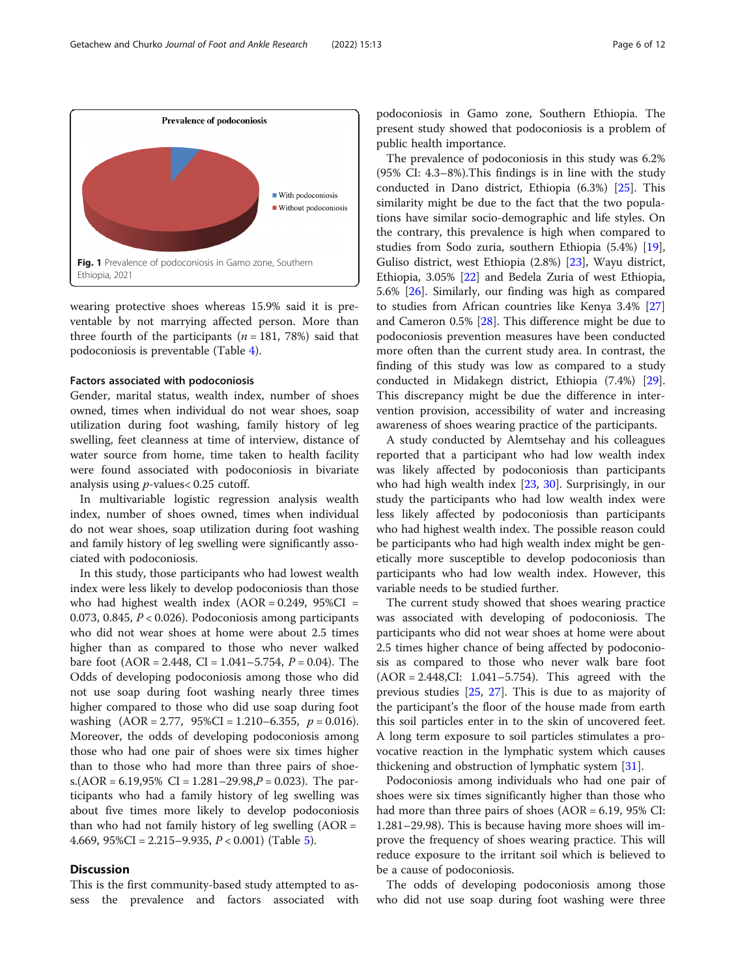<span id="page-5-0"></span>

wearing protective shoes whereas 15.9% said it is preventable by not marrying affected person. More than three fourth of the participants ( $n = 181, 78\%$ ) said that podoconiosis is preventable (Table [4](#page-8-0)).

# Factors associated with podoconiosis

Gender, marital status, wealth index, number of shoes owned, times when individual do not wear shoes, soap utilization during foot washing, family history of leg swelling, feet cleanness at time of interview, distance of water source from home, time taken to health facility were found associated with podoconiosis in bivariate analysis using p-values< 0.25 cutoff.

In multivariable logistic regression analysis wealth index, number of shoes owned, times when individual do not wear shoes, soap utilization during foot washing and family history of leg swelling were significantly associated with podoconiosis.

In this study, those participants who had lowest wealth index were less likely to develop podoconiosis than those who had highest wealth index  $(AOR = 0.249, 95\%CI =$ 0.073, 0.845,  $P < 0.026$ ). Podoconiosis among participants who did not wear shoes at home were about 2.5 times higher than as compared to those who never walked bare foot  $(AOR = 2.448, CI = 1.041 - 5.754, P = 0.04)$ . The Odds of developing podoconiosis among those who did not use soap during foot washing nearly three times higher compared to those who did use soap during foot washing  $(AOR = 2.77, 95\%CI = 1.210 - 6.355, p = 0.016)$ . Moreover, the odds of developing podoconiosis among those who had one pair of shoes were six times higher than to those who had more than three pairs of shoes.(AOR =  $6.19,95\%$  CI =  $1.281-29.98, P = 0.023$ ). The participants who had a family history of leg swelling was about five times more likely to develop podoconiosis than who had not family history of leg swelling  $(AOR =$ 4.669,  $95\%CI = 2.215 - 9.935$ ,  $P < 0.001$ ) (Table [5\)](#page-9-0).

# **Discussion**

This is the first community-based study attempted to assess the prevalence and factors associated with

podoconiosis in Gamo zone, Southern Ethiopia. The present study showed that podoconiosis is a problem of public health importance.

The prevalence of podoconiosis in this study was 6.2% (95% CI: 4.3–8%).This findings is in line with the study conducted in Dano district, Ethiopia (6.3%) [\[25](#page-10-0)]. This similarity might be due to the fact that the two populations have similar socio-demographic and life styles. On the contrary, this prevalence is high when compared to studies from Sodo zuria, southern Ethiopia (5.4%) [\[19](#page-10-0)], Guliso district, west Ethiopia (2.8%) [\[23](#page-10-0)], Wayu district, Ethiopia, 3.05% [[22](#page-10-0)] and Bedela Zuria of west Ethiopia, 5.6% [[26\]](#page-10-0). Similarly, our finding was high as compared to studies from African countries like Kenya 3.4% [[27](#page-10-0)] and Cameron  $0.5\%$  [ $28$ ]. This difference might be due to podoconiosis prevention measures have been conducted more often than the current study area. In contrast, the finding of this study was low as compared to a study conducted in Midakegn district, Ethiopia (7.4%) [\[29](#page-10-0)]. This discrepancy might be due the difference in intervention provision, accessibility of water and increasing awareness of shoes wearing practice of the participants.

A study conducted by Alemtsehay and his colleagues reported that a participant who had low wealth index was likely affected by podoconiosis than participants who had high wealth index [\[23](#page-10-0), [30\]](#page-10-0). Surprisingly, in our study the participants who had low wealth index were less likely affected by podoconiosis than participants who had highest wealth index. The possible reason could be participants who had high wealth index might be genetically more susceptible to develop podoconiosis than participants who had low wealth index. However, this variable needs to be studied further.

The current study showed that shoes wearing practice was associated with developing of podoconiosis. The participants who did not wear shoes at home were about 2.5 times higher chance of being affected by podoconiosis as compared to those who never walk bare foot (AOR = 2.448,CI: 1.041–5.754). This agreed with the previous studies [\[25](#page-10-0), [27](#page-10-0)]. This is due to as majority of the participant's the floor of the house made from earth this soil particles enter in to the skin of uncovered feet. A long term exposure to soil particles stimulates a provocative reaction in the lymphatic system which causes thickening and obstruction of lymphatic system [\[31\]](#page-11-0).

Podoconiosis among individuals who had one pair of shoes were six times significantly higher than those who had more than three pairs of shoes  $(AOR = 6.19, 95\% \text{ CI:}$ 1.281–29.98). This is because having more shoes will improve the frequency of shoes wearing practice. This will reduce exposure to the irritant soil which is believed to be a cause of podoconiosis.

The odds of developing podoconiosis among those who did not use soap during foot washing were three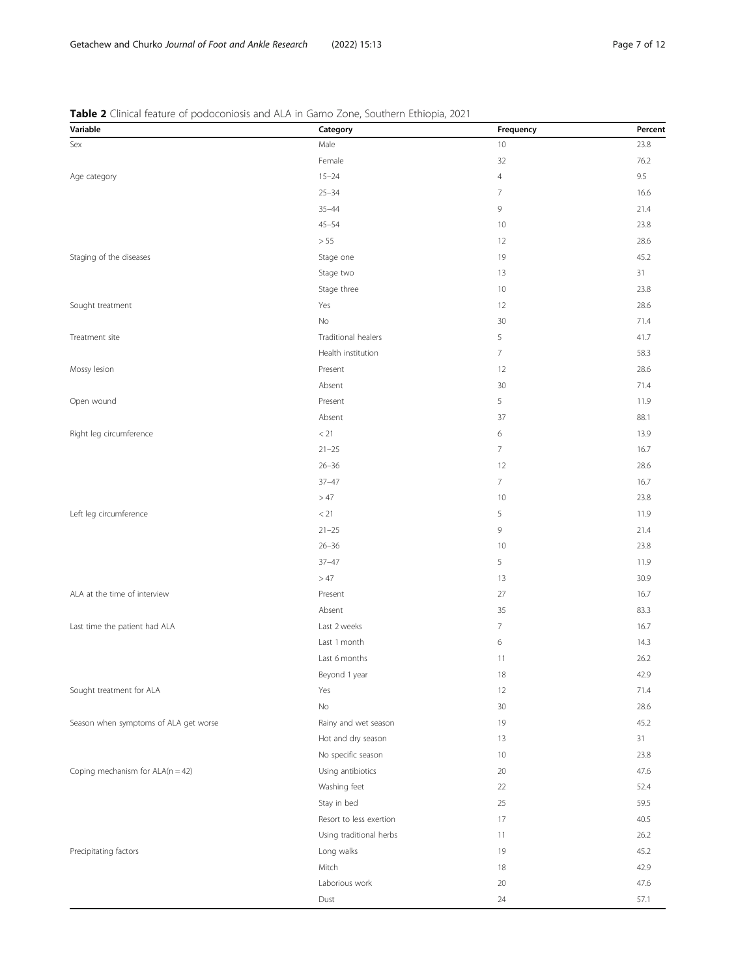| Variable                              | Category                | Frequency      | Percent |
|---------------------------------------|-------------------------|----------------|---------|
| Sex                                   | Male                    | 10             | 23.8    |
|                                       | Female                  | 32             | 76.2    |
| Age category                          | $15 - 24$               | $\overline{4}$ | 9.5     |
|                                       | $25 - 34$               | $\overline{7}$ | 16.6    |
|                                       | $35 - 44$               | 9              | 21.4    |
|                                       | $45 - 54$               | 10             | 23.8    |
|                                       | > 55                    | 12             | 28.6    |
| Staging of the diseases               | Stage one               | 19             | 45.2    |
|                                       | Stage two               | 13             | 31      |
|                                       | Stage three             | 10             | 23.8    |
| Sought treatment                      | Yes                     | 12             | 28.6    |
|                                       | No                      | 30             | 71.4    |
| Treatment site                        | Traditional healers     | 5              | 41.7    |
|                                       | Health institution      | $\overline{7}$ | 58.3    |
| Mossy lesion                          | Present                 | 12             | 28.6    |
|                                       | Absent                  | 30             | 71.4    |
| Open wound                            | Present                 | 5              | 11.9    |
|                                       | Absent                  | 37             | 88.1    |
| Right leg circumference               | < 21                    | 6              | 13.9    |
|                                       | $21 - 25$               | $\overline{7}$ | 16.7    |
|                                       | $26 - 36$               | 12             | 28.6    |
|                                       | $37 - 47$               | 7              | 16.7    |
|                                       | >47                     | 10             | 23.8    |
| Left leg circumference                | < 21                    | 5              | 11.9    |
|                                       | $21 - 25$               | 9              | 21.4    |
|                                       | $26 - 36$               | 10             | 23.8    |
|                                       | $37 - 47$               | 5              | 11.9    |
|                                       | >47                     | 13             | 30.9    |
| ALA at the time of interview          | Present                 | 27             | 16.7    |
|                                       | Absent                  | 35             | 83.3    |
| Last time the patient had ALA         | Last 2 weeks            | $\overline{7}$ | 16.7    |
|                                       | Last 1 month            | 6              | 14.3    |
|                                       | Last 6 months           | 11             | 26.2    |
|                                       | Beyond 1 year           | 18             | 42.9    |
| Sought treatment for ALA              | Yes                     | 12             | 71.4    |
|                                       | No                      | 30             | 28.6    |
| Season when symptoms of ALA get worse | Rainy and wet season    | 19             | 45.2    |
|                                       | Hot and dry season      | 13             | 31      |
|                                       | No specific season      | 10             | 23.8    |
| Coping mechanism for $ALA(n = 42)$    | Using antibiotics       | 20             | 47.6    |
|                                       | Washing feet            | 22             | 52.4    |
|                                       | Stay in bed             | 25             | 59.5    |
|                                       | Resort to less exertion | 17             | 40.5    |
|                                       | Using traditional herbs | 11             | 26.2    |
| Precipitating factors                 | Long walks              | 19             | 45.2    |
|                                       | Mitch                   | 18             | 42.9    |
|                                       | Laborious work          | 20             | 47.6    |
|                                       | Dust                    | 24             | 57.1    |
|                                       |                         |                |         |

<span id="page-6-0"></span>Table 2 Clinical feature of podoconiosis and ALA in Gamo Zone, Southern Ethiopia, 2021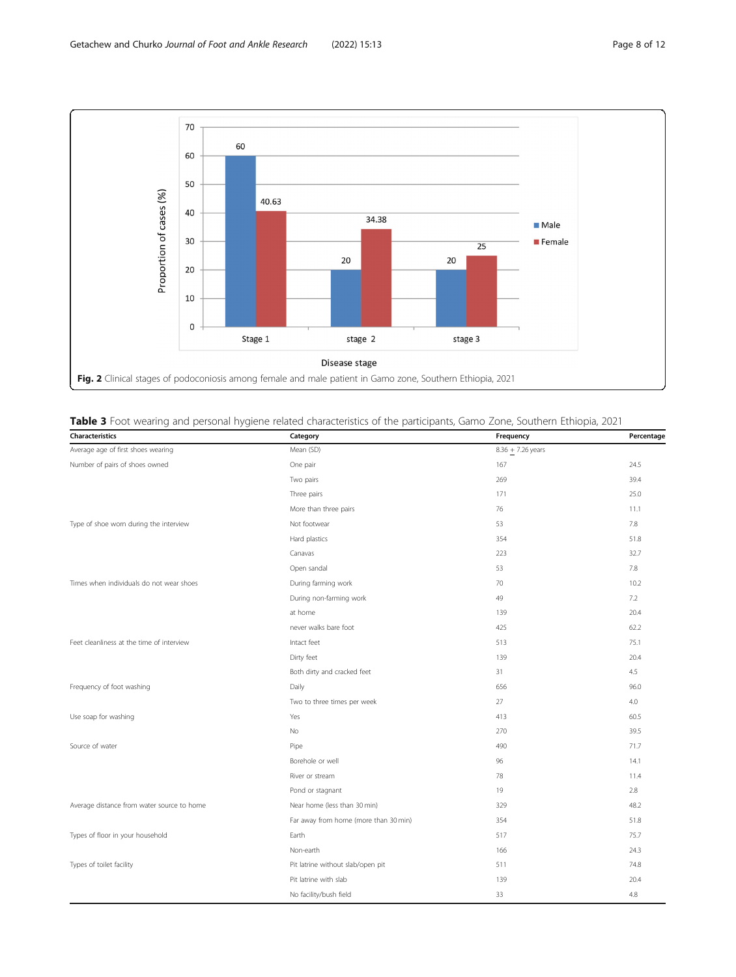<span id="page-7-0"></span>

| Characteristics                            | Category                              | Frequency           | Percentage |
|--------------------------------------------|---------------------------------------|---------------------|------------|
| Average age of first shoes wearing         | Mean (SD)                             | $8.36 + 7.26$ years |            |
| Number of pairs of shoes owned             | One pair                              | 167                 | 24.5       |
|                                            | Two pairs                             | 269                 | 39.4       |
|                                            | Three pairs                           | 171                 | 25.0       |
|                                            | More than three pairs                 | 76                  | 11.1       |
| Type of shoe worn during the interview     | Not footwear                          | 53                  | 7.8        |
|                                            | Hard plastics                         | 354                 | 51.8       |
|                                            | Canavas                               | 223                 | 32.7       |
|                                            | Open sandal                           | 53                  | 7.8        |
| Times when individuals do not wear shoes   | During farming work                   | 70                  | 10.2       |
|                                            | During non-farming work               | 49                  | 7.2        |
|                                            | at home                               | 139                 | 20.4       |
|                                            | never walks bare foot                 | 425                 | 62.2       |
| Feet cleanliness at the time of interview  | Intact feet                           | 513                 | 75.1       |
|                                            | Dirty feet                            | 139                 | 20.4       |
|                                            | Both dirty and cracked feet           | 31                  | 4.5        |
| Frequency of foot washing                  | Daily                                 | 656                 | 96.0       |
|                                            | Two to three times per week           | 27                  | 4.0        |
| Use soap for washing                       | Yes                                   | 413                 | 60.5       |
|                                            | No                                    | 270                 | 39.5       |
| Source of water                            | Pipe                                  | 490                 | 71.7       |
|                                            | Borehole or well                      | 96                  | 14.1       |
|                                            | River or stream                       | 78                  | 11.4       |
|                                            | Pond or stagnant                      | 19                  | 2.8        |
| Average distance from water source to home | Near home (less than 30 min)          | 329                 | 48.2       |
|                                            | Far away from home (more than 30 min) | 354                 | 51.8       |
| Types of floor in your household           | Earth                                 | 517                 | 75.7       |
|                                            | Non-earth                             | 166                 | 24.3       |
| Types of toilet facility                   | Pit latrine without slab/open pit     | 511                 | 74.8       |
|                                            | Pit latrine with slab                 | 139                 | 20.4       |
|                                            | No facility/bush field                | 33                  | 4.8        |

# Table 3 Foot wearing and personal hygiene related characteristics of the participants, Gamo Zone, Southern Ethiopia, 2021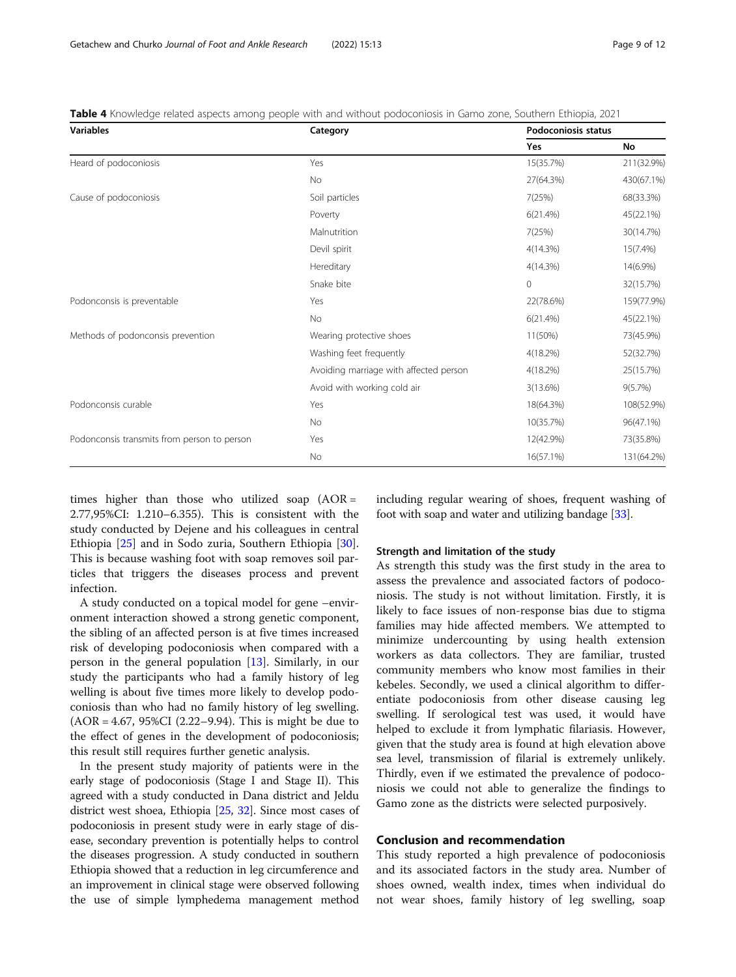| <b>Variables</b>                            | Category                               | <b>Podoconiosis status</b> |             |
|---------------------------------------------|----------------------------------------|----------------------------|-------------|
|                                             |                                        | Yes                        | No          |
| Heard of podoconiosis                       | Yes                                    | 15(35.7%)                  | 211(32.9%)  |
|                                             | No                                     | 27(64.3%)                  | 430(67.1%)  |
| Cause of podoconiosis                       | Soil particles                         | 7(25%)                     | 68(33.3%)   |
|                                             | Poverty                                | 6(21.4%)                   | 45(22.1%)   |
|                                             | Malnutrition                           | 7(25%)                     | 30(14.7%)   |
|                                             | Devil spirit                           | 4(14.3%)                   | $15(7.4\%)$ |
|                                             | Hereditary                             | 4(14.3%)                   | 14(6.9%)    |
|                                             | Snake bite                             | $\circ$                    | 32(15.7%)   |
| Podonconsis is preventable                  | Yes                                    | 22(78.6%)                  | 159(77.9%)  |
|                                             | No                                     | 6(21.4%)                   | 45(22.1%)   |
| Methods of podonconsis prevention           | Wearing protective shoes               | 11(50%)                    | 73(45.9%)   |
|                                             | Washing feet frequently                | 4(18.2%)                   | 52(32.7%)   |
|                                             | Avoiding marriage with affected person | 4(18.2%)                   | 25(15.7%)   |
|                                             | Avoid with working cold air            | 3(13.6%)                   | 9(5.7%)     |
| Podonconsis curable                         | Yes                                    | 18(64.3%)                  | 108(52.9%)  |
|                                             | <b>No</b>                              | 10(35.7%)                  | 96(47.1%)   |
| Podonconsis transmits from person to person | Yes                                    | 12(42.9%)                  | 73(35.8%)   |
|                                             | No                                     | 16(57.1%)                  | 131(64.2%)  |

<span id="page-8-0"></span>Table 4 Knowledge related aspects among people with and without podoconiosis in Gamo zone, Southern Ethiopia, 2021

times higher than those who utilized soap  $(AOR =$ 2.77,95%CI: 1.210–6.355). This is consistent with the study conducted by Dejene and his colleagues in central Ethiopia [\[25](#page-10-0)] and in Sodo zuria, Southern Ethiopia [\[30](#page-10-0)]. This is because washing foot with soap removes soil particles that triggers the diseases process and prevent infection.

A study conducted on a topical model for gene –environment interaction showed a strong genetic component, the sibling of an affected person is at five times increased risk of developing podoconiosis when compared with a person in the general population [[13\]](#page-10-0). Similarly, in our study the participants who had a family history of leg welling is about five times more likely to develop podoconiosis than who had no family history of leg swelling. (AOR = 4.67, 95%CI (2.22–9.94). This is might be due to the effect of genes in the development of podoconiosis; this result still requires further genetic analysis.

In the present study majority of patients were in the early stage of podoconiosis (Stage I and Stage II). This agreed with a study conducted in Dana district and Jeldu district west shoea, Ethiopia [\[25,](#page-10-0) [32\]](#page-11-0). Since most cases of podoconiosis in present study were in early stage of disease, secondary prevention is potentially helps to control the diseases progression. A study conducted in southern Ethiopia showed that a reduction in leg circumference and an improvement in clinical stage were observed following the use of simple lymphedema management method including regular wearing of shoes, frequent washing of foot with soap and water and utilizing bandage [\[33](#page-11-0)].

# Strength and limitation of the study

As strength this study was the first study in the area to assess the prevalence and associated factors of podoconiosis. The study is not without limitation. Firstly, it is likely to face issues of non-response bias due to stigma families may hide affected members. We attempted to minimize undercounting by using health extension workers as data collectors. They are familiar, trusted community members who know most families in their kebeles. Secondly, we used a clinical algorithm to differentiate podoconiosis from other disease causing leg swelling. If serological test was used, it would have helped to exclude it from lymphatic filariasis. However, given that the study area is found at high elevation above sea level, transmission of filarial is extremely unlikely. Thirdly, even if we estimated the prevalence of podoconiosis we could not able to generalize the findings to Gamo zone as the districts were selected purposively.

# Conclusion and recommendation

This study reported a high prevalence of podoconiosis and its associated factors in the study area. Number of shoes owned, wealth index, times when individual do not wear shoes, family history of leg swelling, soap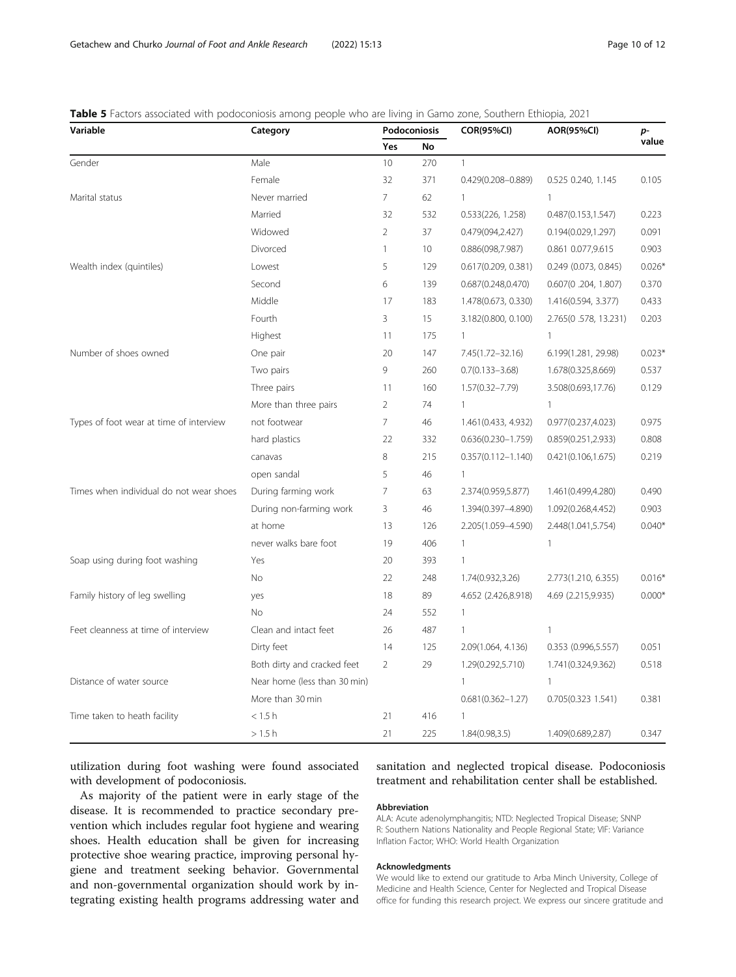| Variable                                | Category                     | Podoconiosis   |                 | <b>COR(95%CI)</b>      | <b>AOR(95%CI)</b>    | p-                   |
|-----------------------------------------|------------------------------|----------------|-----------------|------------------------|----------------------|----------------------|
|                                         |                              | Yes            | <b>No</b>       |                        |                      | value                |
| Gender                                  | Male                         | 10             | 270             | $\mathbf{1}$           |                      |                      |
|                                         | Female                       | 32             | 371             | $0.429(0.208 - 0.889)$ | 0.525 0.240, 1.145   | 0.105                |
| Marital status                          | Never married                | $\overline{7}$ | 62              | $\mathbf{1}$           | $\mathbf{1}$         |                      |
|                                         | Married                      | 32             | 532             | 0.533(226, 1.258)      | 0.487(0.153, 1.547)  | 0.223                |
|                                         | Widowed                      | $\overline{2}$ | 37              | 0.479(094,2.427)       | 0.194(0.029, 1.297)  | 0.091                |
|                                         | Divorced                     | $\mathbf{1}$   | 10 <sup>°</sup> | 0.886(098,7.987)       | 0.861 0.077,9.615    | 0.903                |
| Wealth index (quintiles)                | Lowest                       | 5              | 129             | 0.617(0.209, 0.381)    | 0.249 (0.073, 0.845) | $0.026$ <sup>*</sup> |
|                                         | Second                       | 6              | 139             | 0.687(0.248, 0.470)    | 0.607(0.204, 1.807)  | 0.370                |
|                                         | Middle                       | 17             | 183             | 1.478(0.673, 0.330)    | 1.416(0.594, 3.377)  | 0.433                |
|                                         | Fourth                       | 3              | 15              | 3.182(0.800, 0.100)    | 2.765(0.578, 13.231) | 0.203                |
|                                         | Highest                      | 11             | 175             | $\mathbf{1}$           | $\mathbf{1}$         |                      |
| Number of shoes owned                   | One pair                     | 20             | 147             | 7.45(1.72-32.16)       | 6.199(1.281, 29.98)  | $0.023*$             |
|                                         | Two pairs                    | 9              | 260             | $0.7(0.133 - 3.68)$    | 1.678(0.325,8.669)   | 0.537                |
|                                         | Three pairs                  | 11             | 160             | $1.57(0.32 - 7.79)$    | 3.508(0.693,17.76)   | 0.129                |
|                                         | More than three pairs        | $\overline{2}$ | 74              | $\mathbf{1}$           | $\mathbf{1}$         |                      |
| Types of foot wear at time of interview | not footwear                 | $\overline{7}$ | 46              | 1.461(0.433, 4.932)    | 0.977(0.237,4.023)   | 0.975                |
|                                         | hard plastics                | 22             | 332             | $0.636(0.230 - 1.759)$ | 0.859(0.251, 2.933)  | 0.808                |
|                                         | canavas                      | 8              | 215             | $0.357(0.112 - 1.140)$ | 0.421(0.106, 1.675)  | 0.219                |
|                                         | open sandal                  | 5              | 46              | $\mathbf{1}$           |                      |                      |
| Times when individual do not wear shoes | During farming work          | $\overline{7}$ | 63              | 2.374(0.959,5.877)     | 1.461(0.499,4.280)   | 0.490                |
|                                         | During non-farming work      | 3              | 46              | 1.394(0.397-4.890)     | 1.092(0.268,4.452)   | 0.903                |
|                                         | at home                      | 13             | 126             | 2.205(1.059-4.590)     | 2.448(1.041,5.754)   | $0.040*$             |
|                                         | never walks bare foot        | 19             | 406             | $\mathbf{1}$           | $\mathbf{1}$         |                      |
| Soap using during foot washing          | Yes                          | 20             | 393             | $\overline{1}$         |                      |                      |
|                                         | No                           | 22             | 248             | 1.74(0.932,3.26)       | 2.773(1.210, 6.355)  | $0.016*$             |
| Family history of leg swelling          | yes                          | 18             | 89              | 4.652 (2.426,8.918)    | 4.69 (2.215,9.935)   | $0.000*$             |
|                                         | No                           | 24             | 552             | $\mathbf{1}$           |                      |                      |
| Feet cleanness at time of interview     | Clean and intact feet        | 26             | 487             | $\mathbf{1}$           | $\mathbf{1}$         |                      |
|                                         | Dirty feet                   | 14             | 125             | 2.09(1.064, 4.136)     | 0.353 (0.996,5.557)  | 0.051                |
|                                         | Both dirty and cracked feet  | 2              | 29              | 1.29(0.292,5.710)      | 1.741(0.324,9.362)   | 0.518                |
| Distance of water source                | Near home (less than 30 min) |                |                 | $\mathbf{1}$           | $\mathbf{1}$         |                      |
|                                         | More than 30 min             |                |                 | $0.681(0.362 - 1.27)$  | 0.705(0.3231.541)    | 0.381                |
| Time taken to heath facility            | $<$ 1.5 h                    | 21             | 416             | $\mathbf{1}$           |                      |                      |
|                                         | >1.5h                        | 21             | 225             | 1.84(0.98, 3.5)        | 1.409(0.689,2.87)    | 0.347                |

# <span id="page-9-0"></span>Table 5 Factors associated with podoconiosis among people who are living in Gamo zone, Southern Ethiopia, 2021

utilization during foot washing were found associated with development of podoconiosis.

As majority of the patient were in early stage of the disease. It is recommended to practice secondary prevention which includes regular foot hygiene and wearing shoes. Health education shall be given for increasing protective shoe wearing practice, improving personal hygiene and treatment seeking behavior. Governmental and non-governmental organization should work by integrating existing health programs addressing water and sanitation and neglected tropical disease. Podoconiosis treatment and rehabilitation center shall be established.

# Abbreviation

ALA: Acute adenolymphangitis; NTD: Neglected Tropical Disease; SNNP R: Southern Nations Nationality and People Regional State; VIF: Variance Inflation Factor; WHO: World Health Organization

# Acknowledgments

We would like to extend our gratitude to Arba Minch University, College of Medicine and Health Science, Center for Neglected and Tropical Disease office for funding this research project. We express our sincere gratitude and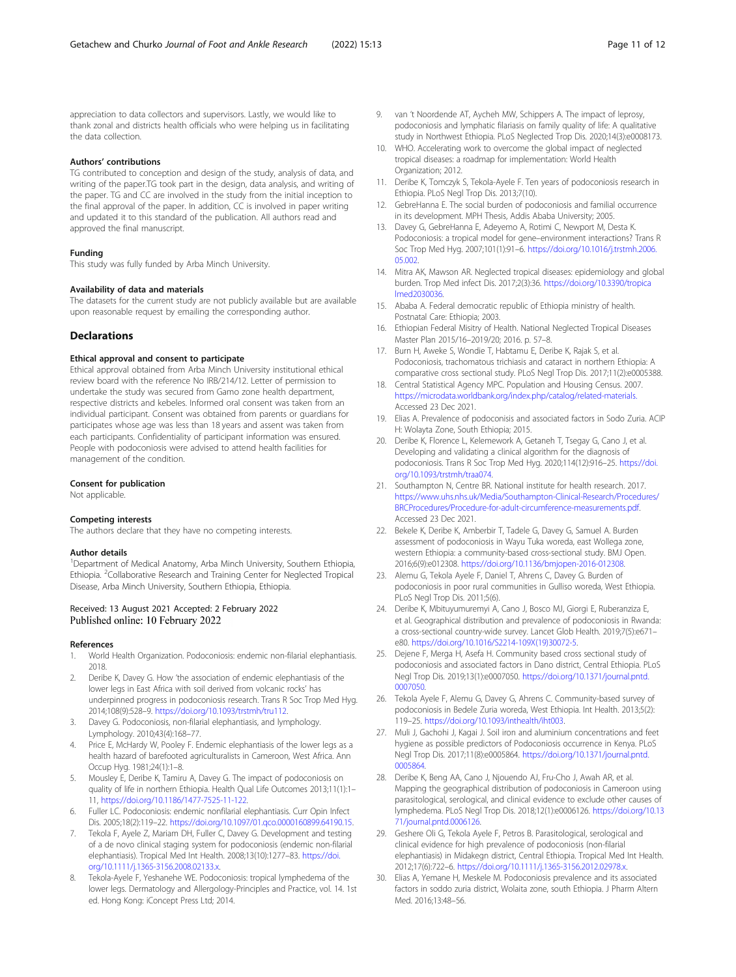<span id="page-10-0"></span>appreciation to data collectors and supervisors. Lastly, we would like to thank zonal and districts health officials who were helping us in facilitating the data collection.

# Authors' contributions

TG contributed to conception and design of the study, analysis of data, and writing of the paper.TG took part in the design, data analysis, and writing of the paper. TG and CC are involved in the study from the initial inception to the final approval of the paper. In addition, CC is involved in paper writing and updated it to this standard of the publication. All authors read and approved the final manuscript.

# Funding

This study was fully funded by Arba Minch University.

#### Availability of data and materials

The datasets for the current study are not publicly available but are available upon reasonable request by emailing the corresponding author.

# **Declarations**

# Ethical approval and consent to participate

Ethical approval obtained from Arba Minch University institutional ethical review board with the reference No IRB/214/12. Letter of permission to undertake the study was secured from Gamo zone health department, respective districts and kebeles. Informed oral consent was taken from an individual participant. Consent was obtained from parents or guardians for participates whose age was less than 18 years and assent was taken from each participants. Confidentiality of participant information was ensured. People with podoconiosis were advised to attend health facilities for management of the condition.

#### Consent for publication

Not applicable.

# Competing interests

The authors declare that they have no competing interests.

# Author details

<sup>1</sup>Department of Medical Anatomy, Arba Minch University, Southern Ethiopia, Ethiopia. <sup>2</sup>Collaborative Research and Training Center for Neglected Tropical Disease, Arba Minch University, Southern Ethiopia, Ethiopia.

# Received: 13 August 2021 Accepted: 2 February 2022 Published online: 10 February 2022

## References

- 1. World Health Organization. Podoconiosis: endemic non-filarial elephantiasis. 2018.
- 2. Deribe K, Davey G. How 'the association of endemic elephantiasis of the lower legs in East Africa with soil derived from volcanic rocks' has underpinned progress in podoconiosis research. Trans R Soc Trop Med Hyg. 2014;108(9):528–9. [https://doi.org/10.1093/trstmh/tru112.](https://doi.org/10.1093/trstmh/tru112)
- 3. Davey G. Podoconiosis, non-filarial elephantiasis, and lymphology. Lymphology. 2010;43(4):168–77.
- 4. Price E, McHardy W, Pooley F. Endemic elephantiasis of the lower legs as a health hazard of barefooted agriculturalists in Cameroon, West Africa. Ann Occup Hyg. 1981;24(1):1–8.
- 5. Mousley E, Deribe K, Tamiru A, Davey G. The impact of podoconiosis on quality of life in northern Ethiopia. Health Qual Life Outcomes 2013;11(1):1– 11, [https://doi.org/10.1186/1477-7525-11-122.](https://doi.org/10.1186/1477-7525-11-122)
- 6. Fuller LC. Podoconiosis: endemic nonfilarial elephantiasis. Curr Opin Infect Dis. 2005;18(2):119–22. <https://doi.org/10.1097/01.qco.0000160899.64190.15>.
- 7. Tekola F, Ayele Z, Mariam DH, Fuller C, Davey G. Development and testing of a de novo clinical staging system for podoconiosis (endemic non-filarial elephantiasis). Tropical Med Int Health. 2008;13(10):1277–83. [https://doi.](https://doi.org/10.1111/j.1365-3156.2008.02133.x) [org/10.1111/j.1365-3156.2008.02133.x](https://doi.org/10.1111/j.1365-3156.2008.02133.x).
- Tekola-Ayele F, Yeshanehe WE. Podoconiosis: tropical lymphedema of the lower legs. Dermatology and Allergology-Principles and Practice, vol. 14. 1st ed. Hong Kong: iConcept Press Ltd; 2014.
- 9. van 't Noordende AT, Aycheh MW, Schippers A. The impact of leprosy, podoconiosis and lymphatic filariasis on family quality of life: A qualitative study in Northwest Ethiopia. PLoS Neglected Trop Dis. 2020;14(3):e0008173.
- 10. WHO. Accelerating work to overcome the global impact of neglected tropical diseases: a roadmap for implementation: World Health Organization; 2012.
- 11. Deribe K, Tomczyk S, Tekola-Ayele F. Ten years of podoconiosis research in Ethiopia. PLoS Negl Trop Dis. 2013;7(10).
- 12. GebreHanna E. The social burden of podoconiosis and familial occurrence in its development. MPH Thesis, Addis Ababa University; 2005.
- 13. Davey G, GebreHanna E, Adeyemo A, Rotimi C, Newport M, Desta K. Podoconiosis: a tropical model for gene–environment interactions? Trans R Soc Trop Med Hyg. 2007;101(1):91–6. [https://doi.org/10.1016/j.trstmh.2006.](https://doi.org/10.1016/j.trstmh.2006.05.002) [05.002](https://doi.org/10.1016/j.trstmh.2006.05.002).
- 14. Mitra AK, Mawson AR. Neglected tropical diseases: epidemiology and global burden. Trop Med infect Dis. 2017;2(3):36. [https://doi.org/10.3390/tropica](https://doi.org/10.3390/tropicalmed2030036) [lmed2030036](https://doi.org/10.3390/tropicalmed2030036).
- 15. Ababa A. Federal democratic republic of Ethiopia ministry of health. Postnatal Care: Ethiopia; 2003.
- 16. Ethiopian Federal Misitry of Health. National Neglected Tropical Diseases Master Plan 2015/16–2019/20; 2016. p. 57–8.
- 17. Burn H, Aweke S, Wondie T, Habtamu E, Deribe K, Rajak S, et al. Podoconiosis, trachomatous trichiasis and cataract in northern Ethiopia: A comparative cross sectional study. PLoS Negl Trop Dis. 2017;11(2):e0005388.
- 18. Central Statistical Agency MPC. Population and Housing Census. 2007. <https://microdata.worldbank.org/index.php/catalog/related-materials.> Accessed 23 Dec 2021.
- 19. Elias A. Prevalence of podoconisis and associated factors in Sodo Zuria. ACIP H: Wolayta Zone, South Ethiopia; 2015.
- 20. Deribe K, Florence L, Kelemework A, Getaneh T, Tsegay G, Cano J, et al. Developing and validating a clinical algorithm for the diagnosis of podoconiosis. Trans R Soc Trop Med Hyg. 2020;114(12):916–25. [https://doi.](https://doi.org/10.1093/trstmh/traa074) [org/10.1093/trstmh/traa074.](https://doi.org/10.1093/trstmh/traa074)
- 21. Southampton N, Centre BR. National institute for health research. 2017. [https://www.uhs.nhs.uk/Media/Southampton-Clinical-Research/Procedures/](https://www.uhs.nhs.uk/Media/Southampton-Clinical-Research/Procedures/BRCProcedures/Procedure-for-adult-circumference-measurements.pdf) [BRCProcedures/Procedure-for-adult-circumference-measurements.pdf](https://www.uhs.nhs.uk/Media/Southampton-Clinical-Research/Procedures/BRCProcedures/Procedure-for-adult-circumference-measurements.pdf). Accessed 23 Dec 2021.
- 22. Bekele K, Deribe K, Amberbir T, Tadele G, Davey G, Samuel A. Burden assessment of podoconiosis in Wayu Tuka woreda, east Wollega zone, western Ethiopia: a community-based cross-sectional study. BMJ Open. 2016;6(9):e012308. [https://doi.org/10.1136/bmjopen-2016-012308.](https://doi.org/10.1136/bmjopen-2016-012308)
- 23. Alemu G, Tekola Ayele F, Daniel T, Ahrens C, Davey G. Burden of podoconiosis in poor rural communities in Gulliso woreda, West Ethiopia. PLoS Negl Trop Dis. 2011;5(6).
- 24. Deribe K, Mbituyumuremyi A, Cano J, Bosco MJ, Giorgi E, Ruberanziza E, et al. Geographical distribution and prevalence of podoconiosis in Rwanda: a cross-sectional country-wide survey. Lancet Glob Health. 2019;7(5):e671– e80. [https://doi.org/10.1016/S2214-109X\(19\)30072-5.](https://doi.org/10.1016/S2214-109X(19)30072-5)
- 25. Dejene F, Merga H, Asefa H. Community based cross sectional study of podoconiosis and associated factors in Dano district, Central Ethiopia. PLoS Negl Trop Dis. 2019;13(1):e0007050. [https://doi.org/10.1371/journal.pntd.](https://doi.org/10.1371/journal.pntd.0007050) [0007050.](https://doi.org/10.1371/journal.pntd.0007050)
- 26. Tekola Ayele F, Alemu G, Davey G, Ahrens C. Community-based survey of podoconiosis in Bedele Zuria woreda, West Ethiopia. Int Health. 2013;5(2): 119–25. <https://doi.org/10.1093/inthealth/iht003>.
- 27. Muli J, Gachohi J, Kagai J. Soil iron and aluminium concentrations and feet hygiene as possible predictors of Podoconiosis occurrence in Kenya. PLoS Negl Trop Dis. 2017;11(8):e0005864. [https://doi.org/10.1371/journal.pntd.](https://doi.org/10.1371/journal.pntd.0005864) [0005864.](https://doi.org/10.1371/journal.pntd.0005864)
- 28. Deribe K, Beng AA, Cano J, Njouendo AJ, Fru-Cho J, Awah AR, et al. Mapping the geographical distribution of podoconiosis in Cameroon using parasitological, serological, and clinical evidence to exclude other causes of lymphedema. PLoS Negl Trop Dis. 2018;12(1):e0006126. [https://doi.org/10.13](https://doi.org/10.1371/journal.pntd.0006126) [71/journal.pntd.0006126](https://doi.org/10.1371/journal.pntd.0006126).
- 29. Geshere Oli G, Tekola Ayele F, Petros B. Parasitological, serological and clinical evidence for high prevalence of podoconiosis (non-filarial elephantiasis) in Midakegn district, Central Ethiopia. Tropical Med Int Health. 2012;17(6):722–6. [https://doi.org/10.1111/j.1365-3156.2012.02978.x.](https://doi.org/10.1111/j.1365-3156.2012.02978.x)
- 30. Elias A, Yemane H, Meskele M. Podoconiosis prevalence and its associated factors in soddo zuria district, Wolaita zone, south Ethiopia. J Pharm Altern Med. 2016;13:48–56.